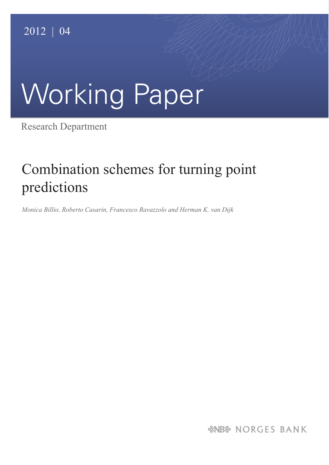# Working Paper

Research Department

# Combination schemes for turning point predictions

*Monica Billio, Roberto Casarin, Francesco Ravazzolo and Herman K. van Dijk*

*&NB& NORGES BANK*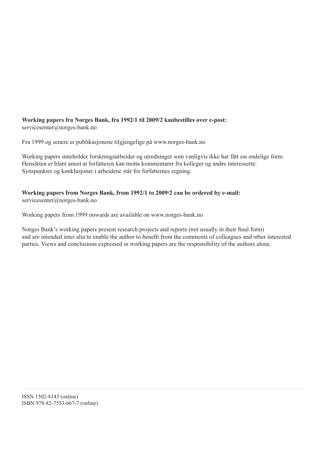#### **Working papers fra Norges Bank, fra 1992/1 til 2009/2 kanbestilles over e-post:** servicesenter@norges-bank.no

Fra 1999 og senere er publikasjonene tilgjengelige på www.norges-bank.no

Working papers inneholder forskningsarbeider og utredninger som vanligvis ikke har fått sin endelige form. Hensikten er blant annet at forfatteren kan motta kommentarer fra kolleger og andre interesserte. Synspunkter og konklusjoner i arbeidene står for forfatternes regning.

## **Working papers from Norges Bank, from 1992/1 to 2009/2 can be ordered by e-mail:** servicesenter@norges-bank.no

Working papers from 1999 onwards are available on www.norges-bank.no

Norges Bank's working papers present research projects and reports (not usually in their final form) and are intended inter alia to enable the author to benefit from the comments of colleagues and other interested parties. Views and conclusions expressed in working papers are the responsibility of the authors alone.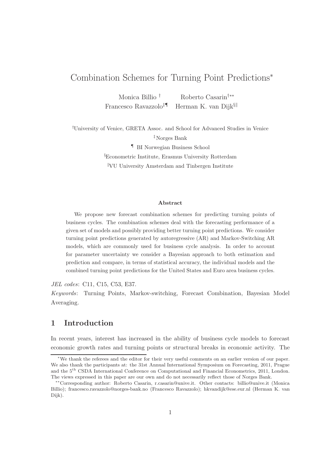# Combination Schemes for Turning Point Predictions<sup>∗</sup>

Monica Billio † Roberto Casarin†∗∗ Francesco Ravazzolo<sup>‡¶</sup> Herman K. van Dijk§

†University of Venice, GRETA Assoc. and School for Advanced Studies in Venice

‡Norges Bank

¶ BI Norwegian Business School

§Econometric Institute, Erasmus University Rotterdam <sup>k</sup>VU University Amsterdam and Tinbergen Institute

#### Abstract

We propose new forecast combination schemes for predicting turning points of business cycles. The combination schemes deal with the forecasting performance of a given set of models and possibly providing better turning point predictions. We consider turning point predictions generated by autoregressive (AR) and Markov-Switching AR models, which are commonly used for business cycle analysis. In order to account for parameter uncertainty we consider a Bayesian approach to both estimation and prediction and compare, in terms of statistical accuracy, the individual models and the combined turning point predictions for the United States and Euro area business cycles.

JEL codes: C11, C15, C53, E37.

Keywords: Turning Points, Markov-switching, Forecast Combination, Bayesian Model Averaging.

# 1 Introduction

In recent years, interest has increased in the ability of business cycle models to forecast economic growth rates and turning points or structural breaks in economic activity. The

<sup>∗</sup>We thank the referees and the editor for their very useful comments on an earlier version of our paper. We also thank the participants at: the 31st Annual International Symposium on Forecasting, 2011, Prague and the 5th CSDA International Conference on Computational and Financial Econometrics, 2011, London. The views expressed in this paper are our own and do not necessarily reflect those of Norges Bank.

<sup>∗∗</sup>Corresponding author: Roberto Casarin, r.casarin@unive.it. Other contacts: billio@unive.it (Monica Billio); francesco.ravazzolo@norges-bank.no (Francesco Ravazzolo); hkvandijk@ese.eur.nl (Herman K. van Dijk).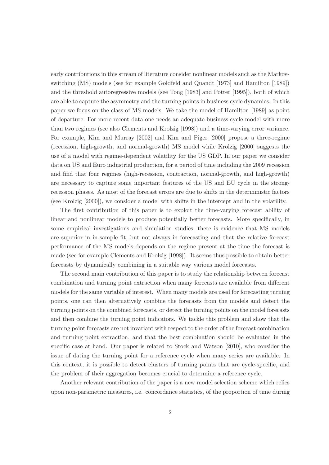early contributions in this stream of literature consider nonlinear models such as the Markovswitching (MS) models (see for example Goldfeld and Quandt [1973] and Hamilton [1989]) and the threshold autoregressive models (see Tong [1983] and Potter [1995]), both of which are able to capture the asymmetry and the turning points in business cycle dynamics. In this paper we focus on the class of MS models. We take the model of Hamilton [1989] as point of departure. For more recent data one needs an adequate business cycle model with more than two regimes (see also Clements and Krolzig [1998]) and a time-varying error variance. For example, Kim and Murray [2002] and Kim and Piger [2000] propose a three-regime (recession, high-growth, and normal-growth) MS model while Krolzig [2000] suggests the use of a model with regime-dependent volatility for the US GDP. In our paper we consider data on US and Euro industrial production, for a period of time including the 2009 recession and find that four regimes (high-recession, contraction, normal-growth, and high-growth) are necessary to capture some important features of the US and EU cycle in the strongrecession phases. As most of the forecast errors are due to shifts in the deterministic factors (see Krolzig [2000]), we consider a model with shifts in the intercept and in the volatility.

The first contribution of this paper is to exploit the time-varying forecast ability of linear and nonlinear models to produce potentially better forecasts. More specifically, in some empirical investigations and simulation studies, there is evidence that MS models are superior in in-sample fit, but not always in forecasting and that the relative forecast performance of the MS models depends on the regime present at the time the forecast is made (see for example Clements and Krolzig [1998]). It seems thus possible to obtain better forecasts by dynamically combining in a suitable way various model forecasts.

The second main contribution of this paper is to study the relationship between forecast combination and turning point extraction when many forecasts are available from different models for the same variable of interest. When many models are used for forecasting turning points, one can then alternatively combine the forecasts from the models and detect the turning points on the combined forecasts, or detect the turning points on the model forecasts and then combine the turning point indicators. We tackle this problem and show that the turning point forecasts are not invariant with respect to the order of the forecast combination and turning point extraction, and that the best combination should be evaluated in the specific case at hand. Our paper is related to Stock and Watson [2010], who consider the issue of dating the turning point for a reference cycle when many series are available. In this context, it is possible to detect clusters of turning points that are cycle-specific, and the problem of their aggregation becomes crucial to determine a reference cycle.

Another relevant contribution of the paper is a new model selection scheme which relies upon non-parametric measures, i.e. concordance statistics, of the proportion of time during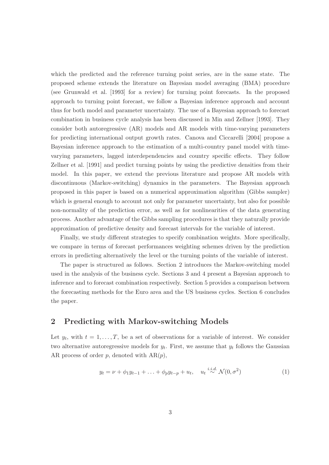which the predicted and the reference turning point series, are in the same state. The proposed scheme extends the literature on Bayesian model averaging (BMA) procedure (see Grunwald et al. [1993] for a review) for turning point forecasts. In the proposed approach to turning point forecast, we follow a Bayesian inference approach and account thus for both model and parameter uncertainty. The use of a Bayesian approach to forecast combination in business cycle analysis has been discussed in Min and Zellner [1993]. They consider both autoregressive (AR) models and AR models with time-varying parameters for predicting international output growth rates. Canova and Ciccarelli [2004] propose a Bayesian inference approach to the estimation of a multi-country panel model with timevarying parameters, lagged interdependencies and country specific effects. They follow Zellner et al. [1991] and predict turning points by using the predictive densities from their model. In this paper, we extend the previous literature and propose AR models with discontinuous (Markov-switching) dynamics in the parameters. The Bayesian approach proposed in this paper is based on a numerical approximation algorithm (Gibbs sampler) which is general enough to account not only for parameter uncertainty, but also for possible non-normality of the prediction error, as well as for nonlinearities of the data generating process. Another advantage of the Gibbs sampling procedures is that they naturally provide approximation of predictive density and forecast intervals for the variable of interest.

Finally, we study different strategies to specify combination weights. More specifically, we compare in terms of forecast performances weighting schemes driven by the prediction errors in predicting alternatively the level or the turning points of the variable of interest.

The paper is structured as follows. Section 2 introduces the Markov-switching model used in the analysis of the business cycle. Sections 3 and 4 present a Bayesian approach to inference and to forecast combination respectively. Section 5 provides a comparison between the forecasting methods for the Euro area and the US business cycles. Section 6 concludes the paper.

# 2 Predicting with Markov-switching Models

Let  $y_t$ , with  $t = 1, \ldots, T$ , be a set of observations for a variable of interest. We consider two alternative autoregressive models for  $y_t$ . First, we assume that  $y_t$  follows the Gaussian AR process of order  $p$ , denoted with  $AR(p)$ ,

$$
y_t = \nu + \phi_1 y_{t-1} + \ldots + \phi_p y_{t-p} + u_t, \quad u_t \stackrel{i.i.d.}{\sim} \mathcal{N}(0, \sigma^2)
$$
 (1)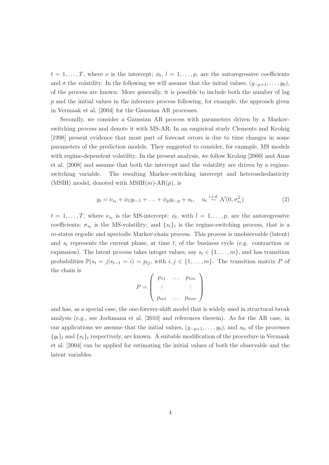$t = 1, \ldots, T$ , where  $\nu$  is the intercept;  $\phi_l, l = 1, \ldots, p$ , are the autoregressive coefficients and  $\sigma$  the volatility. In the following we will assume that the initial values,  $(y_{-p+1}, \ldots, y_0)$ , of the process are known. More generally, it is possible to include both the number of lag  $p$  and the initial values in the inference process following, for example, the approach given in Vermaak et al. [2004] for the Gaussian AR processes.

Secondly, we consider a Gaussian AR process with parameters driven by a Markovswitching process and denote it with MS-AR. In an empirical study Clements and Krolzig [1998] present evidence that most part of forecast errors is due to time changes in some parameters of the prediction models. They suggested to consider, for example, MS models with regime-dependent volatility. In the present analysis, we follow Krolzig [2000] and Anas et al. [2008] and assume that both the intercept and the volatility are driven by a regimeswitching variable. The resulting Markov-switching intercept and heteroschedasticity (MSIH) model, denoted with  $MSIH(m)\text{-}AR(p)$ , is

$$
y_t = \nu_{s_t} + \phi_1 y_{t-1} + \ldots + \phi_p y_{t-p} + u_t, \quad u_t \stackrel{i.i.d.}{\sim} \mathcal{N}(0, \sigma_{s_t}^2)
$$
 (2)

 $t = 1, \ldots, T$ , where  $\nu_{s_t}$  is the MS-intercept;  $\phi_l$ , with  $l = 1, \ldots, p$ , are the autoregressive coefficients;  $\sigma_{s_t}$  is the MS-volatility; and  $\{s_t\}_t$  is the regime-switching process, that is a m-states ergodic and aperiodic Markov-chain process. This process is unobservable (latent) and  $s_t$  represents the current phase, at time t, of the business cycle (e.g. contraction or expansion). The latent process takes integer values, say  $s_t \in \{1, \ldots, m\}$ , and has transition probabilities  $\mathbb{P}(s_t = j | s_{t-1} = i) = p_{ij}$ , with  $i, j \in \{1, ..., m\}$ . The transition matrix P of the chain is

$$
P = \left(\begin{array}{ccc} p_{11} & \dots & p_{1m} \\ \vdots & & \vdots \\ p_{m1} & \dots & p_{mm} \end{array}\right)
$$

and has, as a special case, the one-forever-shift model that is widely used in structural-break analysis (e.g., see Jochmann et al. [2010] and references therein). As for the AR case, in our applications we assume that the initial values,  $(y_{-p+1}, \ldots, y_0)$ , and  $s_0$ , of the processes  ${y_t}_t$  and  ${s_t}_t$  respectively, are known. A suitable modification of the procedure in Vermaak et al. [2004] can be applied for estimating the initial values of both the observable and the latent variables.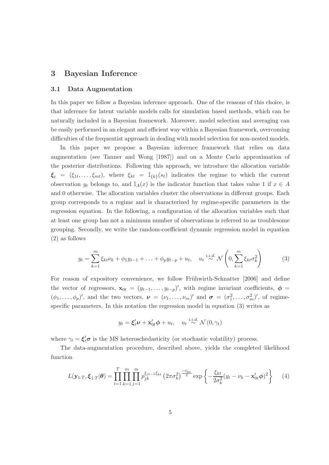# 3 Bayesian Inference

#### 3.1 Data Augmentation

In this paper we follow a Bayesian inference approach. One of the reasons of this choice, is that inference for latent variable models calls for simulation based methods, which can be naturally included in a Bayesian framework. Moreover, model selection and averaging can be easily performed in an elegant and efficient way within a Bayesian framework, overcoming difficulties of the frequentist approach in dealing with model selection for non-nested models.

In this paper we propose a Bayesian inference framework that relies on data augmentation (see Tanner and Wong [1987]) and on a Monte Carlo approximation of the posterior distributions. Following this approach, we introduce the allocation variable  $\xi_t = (\xi_{1t}, \ldots, \xi_{mt}),$  where  $\xi_{kt} = \mathbb{I}_{\{k\}}(s_t)$  indicates the regime to which the current observation  $y_t$  belongs to, and  $\mathbb{I}_A(x)$  is the indicator function that takes value 1 if  $x \in A$ and 0 otherwise. The allocation variables cluster the observations in different groups. Each group corresponds to a regime and is characterized by regime-specific parameters in the regression equation. In the following, a configuration of the allocation variables such that at least one group has not a minimum number of observations is referred to as troublesome grouping. Secondly, we write the random-coefficient dynamic regression model in equation (2) as follows

$$
y_t = \sum_{k=1}^m \xi_{kt} \nu_k + \phi_1 y_{t-1} + \ldots + \phi_p y_{t-p} + u_t, \quad u_t \stackrel{i.i.d.}{\sim} \mathcal{N}\left(0, \sum_{k=1}^m \xi_{kt} \sigma_k^2\right) \tag{3}
$$

For reason of expository convenience, we follow Frühwirth-Schnatter [2006] and define the vector of regressors,  $\mathbf{x}_{0t} = (y_{t-1}, \ldots, y_{t-p})'$ , with regime invariant coefficients,  $\phi =$  $(\phi_1,\ldots,\phi_p)'$ , and the two vectors,  $\boldsymbol{\nu} = (\nu_1,\ldots,\nu_m)'$  and  $\boldsymbol{\sigma} = (\sigma_1^2,\ldots,\sigma_m^2)'$ , of regimespecific parameters. In this notation the regression model in equation (3) writes as

$$
y_t = \xi'_t \nu + \mathbf{x}'_{0t} \phi + u_t, \quad u_t \stackrel{i.i.d.}{\sim} \mathcal{N}(0, \gamma_t)
$$

where  $\gamma_t = \xi'_t \sigma$  is the MS heteroschedasticity (or stochastic volatility) process.

The data-augmentation procedure, described above, yields the completed likelihood function

$$
L(\mathbf{y}_{1:T}, \boldsymbol{\xi}_{1:T} | \boldsymbol{\theta}) = \prod_{t=1}^{T} \prod_{k=1}^{m} \prod_{j=1}^{m} p_{jk}^{\xi_{jt-1}\xi_{kt}} \left(2\pi\sigma_k^2\right)^{\frac{-\xi_{kt}}{2}} \exp\left\{-\frac{\xi_{kt}}{2\sigma_k^2} (y_t - \nu_k - \mathbf{x}_{0t}'\boldsymbol{\phi})^2\right\} \tag{4}
$$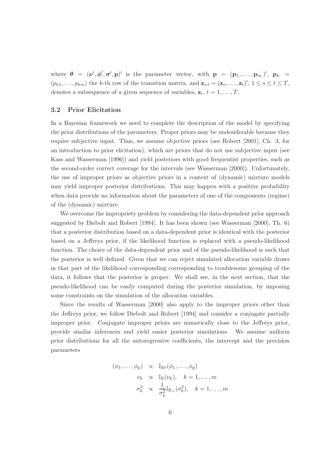where  $\theta = (\nu', \phi', \sigma', p)'$  is the parameter vector, with  $p = (p_1, \ldots, p_m)'$ ,  $p_k =$  $(p_{k1},\ldots,p_{km})$  the k-th row of the transition matrix, and  $\mathbf{z}_{s:t} = (\mathbf{z}_s,\ldots,\mathbf{z}_t)'$ ,  $1 \leq s \leq t \leq T$ , denotes a subsequence of a given sequence of variables,  $z_t$ ,  $t = 1, ..., T$ .

#### 3.2 Prior Elicitation

In a Bayesian framework we need to complete the description of the model by specifying the prior distributions of the parameters. Proper priors may be undesiderable because they require subjective input. Thus, we assume objective priors (see Robert [2001], Ch. 3, for an introduction to prior elicitation), which are priors that do not use subjective input (see Kass and Wasserman [1996]) and yield posteriors with good frequentist properties, such as the second-order correct coverage for the intervals (see Wasserman [2000]). Unfortunately, the use of improper priors as objective priors in a context of (dynamic) mixture models may yield improper posterior distributions. This may happen with a positive probability when data provide no information about the parameters of one of the components (regime) of the (dynamic) mixture.

We overcome the impropriety problem by considering the data-dependent prior approach suggested by Diebolt and Robert [1994]. It has been shown (see Wasserman [2000], Th. 6) that a posterior distribution based on a data-dependent prior is identical with the posterior based on a Jeffreys prior, if the likelihood function is replaced with a pseudo-likelihood function. The choice of the data-dependent prior and of the pseudo-likelihood is such that the posterior is well defined. Given that we can reject simulated allocation variable draws in that part of the likelihood corresponding corresponding to troublesome grouping of the data, it follows that the posterior is proper. We shall see, in the next section, that the pseudo-likelihood can be easily computed during the posterior simulation, by imposing some constraints on the simulation of the allocation variables.

Since the results of Wasserman [2000] also apply to the improper priors other than the Jeffreys prior, we follow Diebolt and Robert [1994] and consider a conjugate partially improper prior. Conjugate improper priors are numerically close to the Jeffreys prior, provide similar inferences and yield easier posterior simulations. We assume uniform prior distributions for all the autoregressive coefficients, the intercept and the precision parameters

$$
(\phi_1, \ldots, \phi_p) \propto \mathbb{I}_{\mathbb{R}^p}(\phi_1, \ldots, \phi_p)
$$
  

$$
\nu_k \propto \mathbb{I}_{\mathbb{R}}(\nu_k), \quad k = 1, \ldots, m
$$
  

$$
\sigma_k^2 \propto \frac{1}{\sigma_k^2} \mathbb{I}_{\mathbb{R}_+}(\sigma_k^2), \quad k = 1, \ldots, m
$$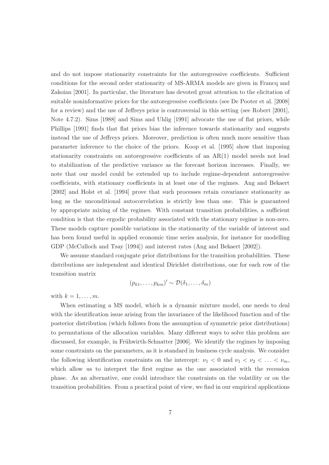and do not impose stationarity constraints for the autoregressive coefficients. Sufficient conditions for the second order stationarity of MS-ARMA models are given in Francq and Zakoian [2001]. In particular, the literature has devoted great attention to the elicitation of suitable noninformative priors for the autoregressive coefficients (see De Pooter et al. [2008] for a review) and the use of Jeffreys prior is controversial in this setting (see Robert [2001], Note 4.7.2). Sims [1988] and Sims and Uhlig [1991] advocate the use of flat priors, while Phillips [1991] finds that flat priors bias the inference towards stationarity and suggests instead the use of Jeffreys priors. Moreover, prediction is often much more sensitive than parameter inference to the choice of the priors. Koop et al. [1995] show that imposing stationarity constraints on autoregressive coefficients of an AR(1) model needs not lead to stabilization of the predictive variance as the forecast horizon increases. Finally, we note that our model could be extended up to include regime-dependent autoregressive coefficients, with stationary coefficients in at least one of the regimes. Ang and Bekaert [2002] and Holst et al. [1994] prove that such processes retain covariance stationarity as long as the unconditional autocorrelation is strictly less than one. This is guaranteed by appropriate mixing of the regimes. With constant transition probabilities, a sufficient condition is that the ergodic probability associated with the stationary regime is non-zero. These models capture possible variations in the stationarity of the variable of interest and has been found useful in applied economic time series analysis, for instance for modelling GDP (McCulloch and Tsay [1994]) and interest rates (Ang and Bekaert [2002]).

We assume standard conjugate prior distributions for the transition probabilities. These distributions are independent and identical Dirichlet distributions, one for each row of the transition matrix

$$
(p_{k1},\ldots,p_{km})' \sim \mathcal{D}(\delta_1,\ldots,\delta_m)
$$

with  $k = 1, \ldots, m$ .

When estimating a MS model, which is a dynamic mixture model, one needs to deal with the identification issue arising from the invariance of the likelihood function and of the posterior distribution (which follows from the assumption of symmetric prior distributions) to permutations of the allocation variables. Many different ways to solve this problem are discussed, for example, in Frühwirth-Schnatter [2006]. We identify the regimes by imposing some constraints on the parameters, as it is standard in business cycle analysis. We consider the following identification constraints on the intercept:  $\nu_1 < 0$  and  $\nu_1 < \nu_2 < \ldots < \nu_m$ , which allow us to interpret the first regime as the one associated with the recession phase. As an alternative, one could introduce the constraints on the volatility or on the transition probabilities. From a practical point of view, we find in our empirical applications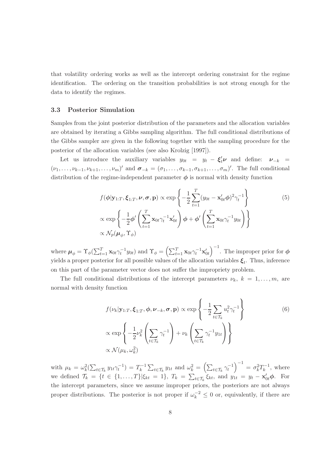that volatility ordering works as well as the intercept ordering constraint for the regime identification. The ordering on the transition probabilities is not strong enough for the data to identify the regimes.

#### 3.3 Posterior Simulation

Samples from the joint posterior distribution of the parameters and the allocation variables are obtained by iterating a Gibbs sampling algorithm. The full conditional distributions of the Gibbs sampler are given in the following together with the sampling procedure for the posterior of the allocation variables (see also Krolzig [1997]).

Let us introduce the auxiliary variables  $y_{0t} = y_t - \xi'_t \nu$  and define:  $\nu_{-k}$  $(\nu_1,\ldots,\nu_{k-1},\nu_{k+1},\ldots,\nu_m)'$  and  $\boldsymbol{\sigma}_{-k}=(\sigma_1,\ldots,\sigma_{k-1},\sigma_{k+1},\ldots,\sigma_m)'$ . The full conditional distribution of the regime-independent parameter  $\phi$  is normal with density function

$$
f(\phi|\mathbf{y}_{1:T}, \boldsymbol{\xi}_{1:T}, \boldsymbol{\nu}, \boldsymbol{\sigma}, \mathbf{p}) \propto \exp\left\{-\frac{1}{2} \sum_{t=1}^{T} (y_{0t} - \mathbf{x}_{0t}'\phi)^2 \gamma_t^{-1}\right\}
$$
  
 
$$
\propto \exp\left\{-\frac{1}{2} \phi' \left(\sum_{t=1}^{T} \mathbf{x}_{0t} \gamma_t^{-1} \mathbf{x}_{0t}'\right) \phi + \phi' \left(\sum_{t=1}^{T} \mathbf{x}_{0t} \gamma_t^{-1} y_{0t}\right)\right\}
$$
  
 
$$
\propto \mathcal{N}_p(\boldsymbol{\mu}_{\phi}, \boldsymbol{\Upsilon}_{\phi})
$$
 (5)

where  $\mu_{\phi} = \Upsilon_{\phi} (\sum_{t=1}^{T} \mathbf{x}_{0t} \gamma_t^{-1} y_{0t})$  and  $\Upsilon_{\phi} = \left( \sum_{t=1}^{T} \mathbf{x}_{0t} \gamma_t^{-1} \mathbf{x}'_{0t} \right)^{-1}$ . The improper prior for  $\phi$ yields a proper posterior for all possible values of the allocation variables  $\xi_t$ . Thus, inference on this part of the parameter vector does not suffer the impropriety problem.

The full conditional distributions of the intercept parameters  $\nu_k$ ,  $k = 1, \ldots, m$ , are normal with density function

$$
f(\nu_k|\mathbf{y}_{1:T}, \boldsymbol{\xi}_{1:T}, \boldsymbol{\phi}, \boldsymbol{\nu}_{-k}, \boldsymbol{\sigma}, \mathbf{p}) \propto \exp\left\{-\frac{1}{2} \sum_{t \in \mathcal{T}_k} u_t^2 \gamma_t^{-1}\right\}
$$
  

$$
\propto \exp\left\{-\frac{1}{2} \nu_k^2 \left(\sum_{t \in \mathcal{T}_k} \gamma_t^{-1}\right) + \nu_k \left(\sum_{t \in \mathcal{T}_k} \gamma_t^{-1} y_{1t}\right)\right\}
$$
  

$$
\propto \mathcal{N}(\mu_k, \omega_k^2)
$$
 (6)

with  $\mu_k = \omega_k^2 (\sum_{t \in \mathcal{T}_k} y_{1t} \gamma_t^{-1}) = T_k^{-1} \sum_{t \in \mathcal{T}_k} y_{1t}$  and  $\omega_k^2 = \left( \sum_{t \in \mathcal{T}_k} \gamma_t^{-1} \right)^{-1} = \sigma_k^2 T_k^{-1}$ , where we defined  $\mathcal{T}_k = \{t \in \{1, \ldots, T\} | \xi_{kt} = 1\}$ ,  $T_k = \sum_{t \in \mathcal{T}_k} \xi_{kt}$ , and  $y_{1t} = y_t - \mathbf{x}'_{0t} \phi$ . For the intercept parameters, since we assume improper priors, the posteriors are not always proper distributions. The posterior is not proper if  $\omega_k^{-2} \leq 0$  or, equivalently, if there are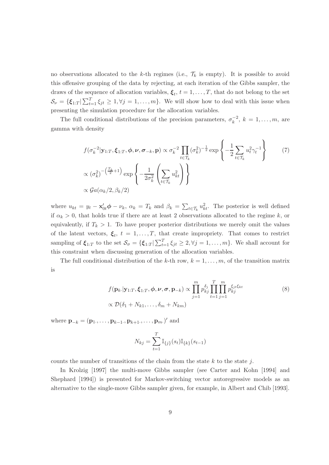no observations allocated to the k-th regimes (i.e.,  $\mathcal{T}_k$  is empty). It is possible to avoid this offensive grouping of the data by rejecting, at each iteration of the Gibbs sampler, the draws of the sequence of allocation variables,  $\xi_t$ ,  $t = 1, \ldots, T$ , that do not belong to the set  $\mathcal{S}_{\nu} = \{\xi_{1:T} | \sum_{t=1}^T \xi_{jt} \geq 1, \forall j = 1, \ldots, m\}.$  We will show how to deal with this issue when presenting the simulation procedure for the allocation variables.

The full conditional distributions of the precision parameters,  $\sigma_k^{-2}$ ,  $k = 1, \ldots, m$ , are gamma with density

$$
f(\sigma_k^{-2}|\mathbf{y}_{1:T}, \boldsymbol{\xi}_{1:T}, \boldsymbol{\phi}, \boldsymbol{\nu}, \boldsymbol{\sigma}_{-k}, \mathbf{p}) \propto \sigma_k^{-2} \prod_{t \in \mathcal{T}_k} (\sigma_k^2)^{-\frac{1}{2}} \exp\left\{-\frac{1}{2} \sum_{t \in \mathcal{T}_k} u_t^2 \gamma_t^{-1}\right\}
$$
  
 
$$
\propto (\sigma_k^2)^{-\left(\frac{T_k}{2}+1\right)} \exp\left\{-\frac{1}{2\sigma_k^2} \left(\sum_{t \in \mathcal{T}_k} u_{kt}^2\right)\right\}
$$
  
 
$$
\propto \mathcal{G}a(\alpha_k/2, \beta_k/2)
$$
 (7)

where  $u_{kt} = y_t - \mathbf{x}'_{0t} \phi - \nu_k$ ,  $\alpha_k = T_k$  and  $\beta_k = \sum_{t \in \mathcal{T}_k} u_{kt}^2$ . The posterior is well defined if  $\alpha_k > 0$ , that holds true if there are at least 2 observations allocated to the regime k, or equivalently, if  $T_k > 1$ . To have proper posterior distributions we merely omit the values of the latent vectors,  $\xi_t$ ,  $t = 1, \ldots, T$ , that create impropriety. That comes to restrict sampling of  $\xi_{1:T}$  to the set  $\mathcal{S}_{\sigma} = {\xi_{1:T}} | \sum_{t=1}^T \xi_{jt} \geq 2, \forall j = 1, \ldots, m$ . We shall account for this constraint when discussing generation of the allocation variables.

The full conditional distribution of the k-th row,  $k = 1, \ldots, m$ , of the transition matrix is

$$
f(\mathbf{p}_{k}|\mathbf{y}_{1:T},\boldsymbol{\xi}_{1:T},\boldsymbol{\phi},\boldsymbol{\nu},\boldsymbol{\sigma},\mathbf{p}_{-k}) \propto \prod_{j=1}^{m} p_{kj}^{\delta_j} \prod_{t=1}^{T} \prod_{j=1}^{m} p_{kj}^{\xi_{jt}\xi_{kt}}
$$
  
 
$$
\propto \mathcal{D}(\delta_1 + N_{k1},\ldots,\delta_m + N_{km})
$$
 (8)

where  ${\bf p}_{-k} = ({\bf p}_1, \ldots, {\bf p}_{k-1}, {\bf p}_{k+1}, \ldots, {\bf p}_m)'$  and

$$
N_{kj} = \sum_{t=1}^{T} \mathbb{I}_{\{j\}}(s_t) \mathbb{I}_{\{k\}}(s_{t-1})
$$

counts the number of transitions of the chain from the state  $k$  to the state j.

In Krolzig [1997] the multi-move Gibbs sampler (see Carter and Kohn [1994] and Shephard [1994]) is presented for Markov-switching vector autoregressive models as an alternative to the single-move Gibbs sampler given, for example, in Albert and Chib [1993].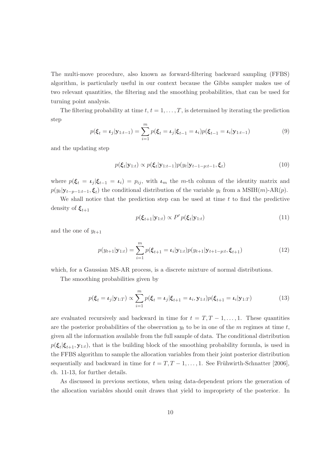The multi-move procedure, also known as forward-filtering backward sampling (FFBS) algorithm, is particularly useful in our context because the Gibbs sampler makes use of two relevant quantities, the filtering and the smoothing probabilities, that can be used for turning point analysis.

The filtering probability at time  $t, t = 1, \ldots, T$ , is determined by iterating the prediction step

$$
p(\xi_t = \iota_j | \mathbf{y}_{1:t-1}) = \sum_{i=1}^m p(\xi_t = \iota_j | \xi_{t-1} = \iota_i) p(\xi_{t-1} = \iota_i | \mathbf{y}_{1:t-1})
$$
(9)

and the updating step

$$
p(\boldsymbol{\xi}_t|\mathbf{y}_{1:t}) \propto p(\boldsymbol{\xi}_t|\mathbf{y}_{1:t-1})p(y_t|\mathbf{y}_{t-1-p:t-1},\boldsymbol{\xi}_t)
$$
\n(10)

where  $p(\xi_t = \iota_j | \xi_{t-1} = \iota_i) = p_{ij}$ , with  $\iota_m$  the m-th column of the identity matrix and  $p(y_t|\mathbf{y}_{t-p-1:t-1}, \boldsymbol{\xi}_t)$  the conditional distribution of the variable  $y_t$  from a MSIH(m)-AR(p).

We shall notice that the prediction step can be used at time  $t$  to find the predictive density of  $\xi_{t+1}$ 

$$
p(\boldsymbol{\xi}_{t+1}|\mathbf{y}_{1:t}) \propto P' p(\boldsymbol{\xi}_t|\mathbf{y}_{1:t})
$$
\n(11)

and the one of  $y_{t+1}$ 

$$
p(y_{t+1}|\mathbf{y}_{1:t}) = \sum_{i=1}^{m} p(\xi_{t+1} = \iota_i|\mathbf{y}_{1:t}) p(y_{t+1}|\mathbf{y}_{t+1-p:t}, \xi_{t+1})
$$
(12)

which, for a Gaussian MS-AR process, is a discrete mixture of normal distributions.

The smoothing probabilities given by

$$
p(\xi_t = \iota_j | \mathbf{y}_{1:T}) \propto \sum_{i=1}^m p(\xi_t = \iota_j | \xi_{t+1} = \iota_i, \mathbf{y}_{1:t}) p(\xi_{t+1} = \iota_i | \mathbf{y}_{1:T})
$$
(13)

are evaluated recursively and backward in time for  $t = T, T - 1, \ldots, 1$ . These quantities are the posterior probabilities of the observation  $y_t$  to be in one of the m regimes at time t, given all the information available from the full sample of data. The conditional distribution  $p(\xi_t|\xi_{t+1}, \mathbf{y}_{1:t})$ , that is the building block of the smoothing probability formula, is used in the FFBS algorithm to sample the allocation variables from their joint posterior distribution sequentially and backward in time for  $t = T, T - 1, \ldots, 1$ . See Frühwirth-Schnatter [2006], ch. 11-13, for further details.

As discussed in previous sections, when using data-dependent priors the generation of the allocation variables should omit draws that yield to impropriety of the posterior. In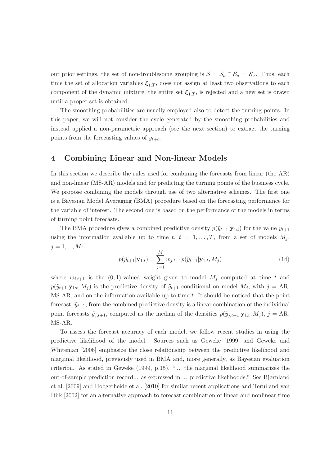our prior settings, the set of non-troublesome grouping is  $S = S_{\nu} \cap S_{\sigma} = S_{\sigma}$ . Thus, each time the set of allocation variables  $\xi_{1:T}$ , does not assign at least two observations to each component of the dynamic mixture, the entire set  $\xi_{1:T}$ , is rejected and a new set is drawn until a proper set is obtained.

The smoothing probabilities are usually employed also to detect the turning points. In this paper, we will not consider the cycle generated by the smoothing probabilities and instead applied a non-parametric approach (see the next section) to extract the turning points from the forecasting values of  $y_{t+h}$ .

# 4 Combining Linear and Non-linear Models

In this section we describe the rules used for combining the forecasts from linear (the AR) and non-linear (MS-AR) models and for predicting the turning points of the business cycle. We propose combining the models through use of two alternative schemes. The first one is a Bayesian Model Averaging (BMA) procedure based on the forecasting performance for the variable of interest. The second one is based on the performance of the models in terms of turning point forecasts.

The BMA procedure gives a combined predictive density  $p(\tilde{y}_{t+1}|\mathbf{y}_{1:t})$  for the value  $y_{t+1}$ using the information available up to time t,  $t = 1, \ldots, T$ , from a set of models  $M_j$ ,  $j = 1, ..., M$ :

$$
p(\tilde{y}_{t+1}|\mathbf{y}_{1:t}) = \sum_{j=1}^{M} w_{j,t+1} p(\tilde{y}_{t+1}|\mathbf{y}_{1:t}, M_j)
$$
\n(14)

where  $w_{j,t+1}$  is the  $(0,1)$ -valued weight given to model  $M_j$  computed at time t and  $p(\tilde{y}_{t+1}|\mathbf{y}_{1:t}, M_j)$  is the predictive density of  $\tilde{y}_{t+1}$  conditional on model  $M_j$ , with  $j = AR$ , MS-AR, and on the information available up to time t. It should be noticed that the point forecast,  $\tilde{y}_{t+1}$ , from the combined predictive density is a linear combination of the individual point forecasts  $\tilde{y}_{j,t+1}$ , computed as the median of the densities  $p(\tilde{y}_{j,t+1}|\mathbf{y}_{1:t}, M_j)$ ,  $j = \text{AR}$ , MS-AR.

To assess the forecast accuracy of each model, we follow recent studies in using the predictive likelihood of the model. Sources such as Geweke [1999] and Geweke and Whiteman [2006] emphasize the close relationship between the predictive likelihood and marginal likelihood, previously used in BMA and, more generally, as Bayesian evaluation criterion. As stated in Geweke (1999, p.15), "... the marginal likelihood summarizes the out-of-sample prediction record... as expressed in ... predictive likelihoods." See Bjørnland et al. [2009] and Hoogerheide et al. [2010] for similar recent applications and Terui and van Dijk [2002] for an alternative approach to forecast combination of linear and nonlinear time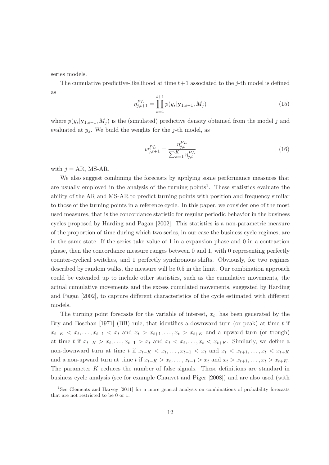series models.

The cumulative predictive-likelihood at time  $t+1$  associated to the j-th model is defined as

$$
\eta_{j,t+1}^{PL} = \prod_{s=1}^{t+1} p(y_s | \mathbf{y}_{1:s-1}, M_j)
$$
\n(15)

where  $p(y_s|\mathbf{y}_{1:s-1}, M_i)$  is the (simulated) predictive density obtained from the model j and evaluated at  $y_s$ . We build the weights for the j-th model, as

$$
w_{j,t+1}^{PL} = \frac{\eta_{j,t}^{PL}}{\sum_{k=1}^{K} \eta_{j,t}^{PL}}
$$
\n(16)

with  $j = AR$ , MS-AR.

We also suggest combining the forecasts by applying some performance measures that are usually employed in the analysis of the turning points<sup>1</sup>. These statistics evaluate the ability of the AR and MS-AR to predict turning points with position and frequency similar to those of the turning points in a reference cycle. In this paper, we consider one of the most used measures, that is the concordance statistic for regular periodic behavior in the business cycles proposed by Harding and Pagan [2002]. This statistics is a non-parametric measure of the proportion of time during which two series, in our case the business cycle regimes, are in the same state. If the series take value of 1 in a expansion phase and 0 in a contraction phase, then the concordance measure ranges between 0 and 1, with 0 representing perfectly counter-cyclical switches, and 1 perfectly synchronous shifts. Obviously, for two regimes described by random walks, the measure will be 0.5 in the limit. Our combination approach could be extended up to include other statistics, such as the cumulative movements, the actual cumulative movements and the excess cumulated movements, suggested by Harding and Pagan [2002], to capture different characteristics of the cycle estimated with different models.

The turning point forecasts for the variable of interest,  $x_t$ , has been generated by the Bry and Boschan  $[1971]$  (BB) rule, that identifies a downward turn (or peak) at time t if  $x_{t-K} < x_t, \ldots, x_{t-1} < x_t$  and  $x_t > x_{t+1}, \ldots, x_t > x_{t+K}$  and a upward turn (or trough) at time t if  $x_{t-K} > x_t, \ldots, x_{t-1} > x_t$  and  $x_t < x_t, \ldots, x_t < x_{t+K}$ . Similarly, we define a non-downward turn at time t if  $x_{t-K} < x_t, \ldots, x_{t-1} < x_t$  and  $x_t < x_{t+1}, \ldots, x_t < x_{t+K}$ and a non-upward turn at time t if  $x_{t-K} > x_t, \ldots, x_{t-1} > x_t$  and  $x_t > x_{t+1}, \ldots, x_t > x_{t+K}$ . The parameter K reduces the number of false signals. These definitions are standard in business cycle analysis (see for example Chauvet and Piger [2008]) and are also used (with

<sup>&</sup>lt;sup>1</sup>See Clements and Harvey [2011] for a more general analysis on combinations of probability forecasts that are not restricted to be 0 or 1.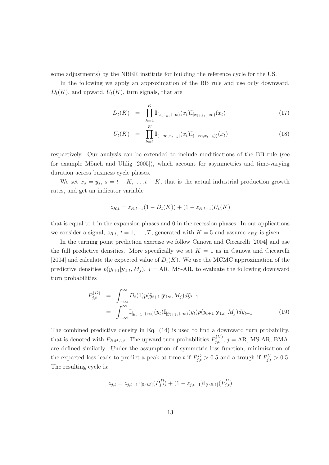some adjustments) by the NBER institute for building the reference cycle for the US.

In the following we apply an approximation of the BB rule and use only downward,  $D_t(K)$ , and upward,  $U_t(K)$ , turn signals, that are

$$
D_t(K) = \prod_{k=1}^K \mathbb{I}_{[x_{t-k}, +\infty)}(x_t) \mathbb{I}_{[x_{t+k}, +\infty)}(x_t)
$$
\n(17)

$$
U_t(K) = \prod_{k=1}^K \mathbb{I}_{(-\infty, x_{t-k}]}(x_t) \mathbb{I}_{(-\infty, x_{t+k})}(x_t)
$$
\n(18)

respectively. Our analysis can be extended to include modifications of the BB rule (see for example Mönch and Uhlig  $[2005]$ , which account for asymmetries and time-varying duration across business cycle phases.

We set  $x_s = y_s$ ,  $s = t - K, \ldots, t + K$ , that is the actual industrial production growth rates, and get an indicator variable

$$
z_{R,t} = z_{R,t-1}(1 - D_t(K)) + (1 - z_{R,t-1})U_t(K)
$$

that is equal to 1 in the expansion phases and 0 in the recession phases. In our applications we consider a signal,  $z_{R,t}$ ,  $t = 1, \ldots, T$ , generated with  $K = 5$  and assume  $z_{R,0}$  is given.

In the turning point prediction exercise we follow Canova and Ciccarelli [2004] and use the full predictive densities. More specifically we set  $K = 1$  as in Canova and Ciccarelli [2004] and calculate the expected value of  $D_t(K)$ . We use the MCMC approximation of the predictive densities  $p(y_{t+1} | \mathbf{y}_{1:t}, M_j)$ ,  $j = \text{AR}, \text{MS-AR},$  to evaluate the following downward turn probabilities

$$
P_{j,t}^{(D)} = \int_{-\infty}^{\infty} D_t(1) p(\tilde{y}_{t+1} | \mathbf{y}_{1:t}, M_j) d\tilde{y}_{t+1}
$$
  
= 
$$
\int_{-\infty}^{\infty} \mathbb{I}_{[y_{t-1}, +\infty)}(y_t) \mathbb{I}_{[\tilde{y}_{t+1}, +\infty)}(y_t) p(\tilde{y}_{t+1} | \mathbf{y}_{1:t}, M_j) d\tilde{y}_{t+1}
$$
 (19)

The combined predictive density in Eq. (14) is used to find a downward turn probability, that is denoted with  $P_{BMA,t}$ . The upward turn probabilities  $P_{j,t}^{(U)}$ ,  $j = AR$ , MS-AR, BMA, are defined similarly. Under the assumption of symmetric loss function, minimization of the expected loss leads to predict a peak at time t if  $P_{j,t}^D > 0.5$  and a trough if  $P_{j,t}^U > 0.5$ . The resulting cycle is:

$$
z_{j,t} = z_{j,t-1} \mathbb{I}_{[0,0.5]}(P^D_{j,t}) + (1 - z_{j,t-1}) \mathbb{I}_{(0.5,1]}(P^U_{j,t})
$$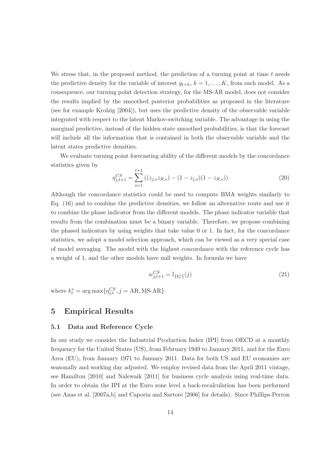We stress that, in the proposed method, the prediction of a turning point at time  $t$  needs the predictive density for the variable of interest  $y_{t+k}$ ,  $k = 1, \ldots, K$ , from each model. As a consequence, our turning point detection strategy, for the MS-AR model, does not consider the results implied by the smoothed posterior probabilities as proposed in the literature (see for example Krolzig [2004]), but uses the predictive density of the observable variable integrated with respect to the latent Markov-switching variable. The advantage in using the marginal predictive, instead of the hidden state smoothed probabilities, is that the forecast will include all the information that is contained in both the observable variable and the latent states predictive densities.

We evaluate turning point forecasting ability of the different models by the concordance statistics given by

$$
\eta_{j,t+1}^{CS} = \sum_{s=1}^{t+1} \left( (z_{j,s} z_{R,s}) - (1 - z_{j,s})(1 - z_{R,s}) \right) \tag{20}
$$

Although the concordance statistics could be used to compute BMA weights similarly to Eq. (16) and to combine the predictive densities, we follow an alternative route and use it to combine the phase indicator from the different models. The phase indicator variable that results from the combination must be a binary variable. Therefore, we propose combining the phased indicators by using weights that take value 0 or 1. In fact, for the concordance statistics, we adopt a model selection approach, which can be viewed as a very special case of model averaging. The model with the highest concordance with the reference cycle has a weight of 1, and the other models have null weights. In formula we have

$$
w_{j,t+1}^{CS} = \mathbb{I}_{\{k_t^*\}}(j) \tag{21}
$$

where  $k_t^* = \arg \max \{ \eta_{j,t}^{CS}, j = AR, MS-AR \}.$ 

### 5 Empirical Results

#### 5.1 Data and Reference Cycle

In our study we consider the Industrial Production Index (IPI) from OECD at a monthly frequency for the United States (US), from February 1949 to January 2011, and for the Euro Area (EU), from January 1971 to January 2011. Data for both US and EU economies are seasonally and working day adjusted. We employ revised data from the April 2011 vintage, see Hamilton [2010] and Nalewaik [2011] for business cycle analysis using real-time data. In order to obtain the IPI at the Euro zone level a back-recalculation has been performed (see Anas et al. [2007a,b] and Caporin and Sartore [2006] for details). Since Phillips-Perron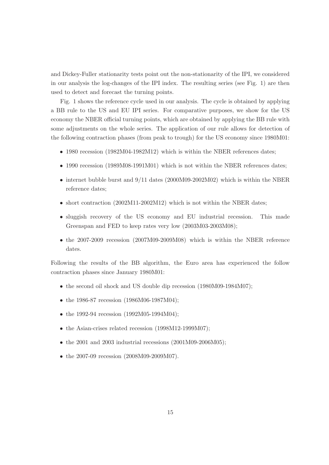and Dickey-Fuller stationarity tests point out the non-stationarity of the IPI, we considered in our analysis the log-changes of the IPI index. The resulting series (see Fig. 1) are then used to detect and forecast the turning points.

Fig. 1 shows the reference cycle used in our analysis. The cycle is obtained by applying a BB rule to the US and EU IPI series. For comparative purposes, we show for the US economy the NBER official turning points, which are obtained by applying the BB rule with some adjustments on the whole series. The application of our rule allows for detection of the following contraction phases (from peak to trough) for the US economy since 1980M01:

- 1980 recession (1982M04-1982M12) which is within the NBER references dates;
- 1990 recession (1989M08-1991M01) which is not within the NBER references dates;
- internet bubble burst and  $9/11$  dates (2000M09-2002M02) which is within the NBER reference dates;
- short contraction (2002M11-2002M12) which is not within the NBER dates;
- sluggish recovery of the US economy and EU industrial recession. This made Greenspan and FED to keep rates very low (2003M03-2003M08);
- the 2007-2009 recession (2007M09-2009M08) which is within the NBER reference dates.

Following the results of the BB algorithm, the Euro area has experienced the follow contraction phases since January 1980M01:

- the second oil shock and US double dip recession (1980M09-1984M07);
- the 1986-87 recession (1986M06-1987M04);
- the 1992-94 recession (1992M05-1994M04);
- the Asian-crises related recession (1998M12-1999M07);
- the 2001 and 2003 industrial recessions  $(2001M09-2006M05)$ ;
- the 2007-09 recession (2008M09-2009M07).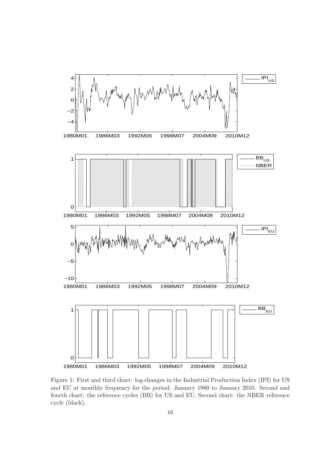

Figure 1: First and third chart: log-changes in the Industrial Production Index (IPI) for US and EU at monthly frequency for the period: January 1980 to January 2010. Second and fourth chart: the reference cycles (BB) for US and EU. Second chart: the NBER reference cycle (black).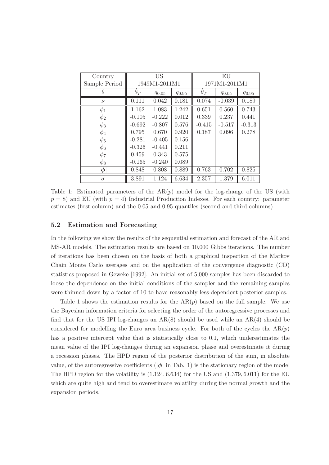| Country       | <b>US</b>     |            |            | EU            |            |            |
|---------------|---------------|------------|------------|---------------|------------|------------|
| Sample Period | 1949M1-2011M1 |            |            | 1971M1-2011M1 |            |            |
| H             | $\theta_T$    | $q_{0.05}$ | $q_{0.95}$ | $\theta_T$    | $q_{0.05}$ | $q_{0.95}$ |
| $\nu$         | 0.111         | 0.042      | 0.181      | 0.074         | $-0.039$   | 0.189      |
| $\phi_1$      | 1.162         | 1.083      | 1.242      | 0.651         | 0.560      | 0.743      |
| $\phi_2$      | $-0.105$      | $-0.222$   | 0.012      | 0.339         | 0.237      | 0.441      |
| $\phi_3$      | $-0.692$      | $-0.807$   | 0.576      | $-0.415$      | $-0.517$   | $-0.313$   |
| $\phi_4$      | 0.795         | 0.670      | 0.920      | 0.187         | 0.096      | 0.278      |
| $\phi_5$      | $-0.281$      | $-0.405$   | 0.156      |               |            |            |
| $\phi_6$      | $-0.326$      | $-0.441$   | 0.211      |               |            |            |
| $\phi_7$      | 0.459         | 0.343      | 0.575      |               |            |            |
| $\phi_8$      | $-0.165$      | $-0.240$   | 0.089      |               |            |            |
| $ \phi $      | 0.848         | 0.808      | 0.889      | 0.763         | 0.702      | 0.825      |
| $\sigma$      | 3.891         | 1.124      | 6.634      | 2.357         | 1.379      | 6.011      |

Table 1: Estimated parameters of the  $AR(p)$  model for the log-change of the US (with  $p = 8$ ) and EU (with  $p = 4$ ) Industrial Production Indexes. For each country: parameter estimates (first column) and the 0.05 and 0.95 quantiles (second and third columns).

#### 5.2 Estimation and Forecasting

In the following we show the results of the sequential estimation and forecast of the AR and MS-AR models. The estimation results are based on 10,000 Gibbs iterations. The number of iterations has been chosen on the basis of both a graphical inspection of the Markov Chain Monte Carlo averages and on the application of the convergence diagnostic (CD) statistics proposed in Geweke [1992]. An initial set of 5,000 samples has been discarded to loose the dependence on the initial conditions of the sampler and the remaining samples were thinned down by a factor of 10 to have reasonably less-dependent posterior samples.

Table 1 shows the estimation results for the  $AR(p)$  based on the full sample. We use the Bayesian information criteria for selecting the order of the autoregressive processes and find that for the US IPI log-changes an  $AR(8)$  should be used while an  $AR(4)$  should be considered for modelling the Euro area business cycle. For both of the cycles the  $AR(p)$ has a positive intercept value that is statistically close to 0.1, which underestimates the mean value of the IPI log-changes during an expansion phase and overestimate it during a recession phases. The HPD region of the posterior distribution of the sum, in absolute value, of the autoregressive coefficients ( $|\phi|$  in Tab. 1) is the stationary region of the model The HPD region for the volatility is  $(1.124, 6.634)$  for the US and  $(1.379, 6.011)$  for the EU which are quite high and tend to overestimate volatility during the normal growth and the expansion periods.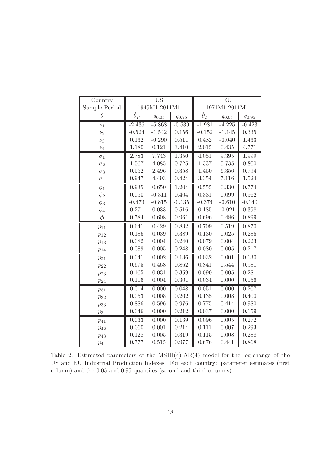| Country       | <b>US</b>            |            |               | EU                   |            |            |
|---------------|----------------------|------------|---------------|----------------------|------------|------------|
| Sample Period | 1949M1-2011M1        |            | 1971M1-2011M1 |                      |            |            |
| $\theta$      | $\widehat{\theta}_T$ | $q_{0.05}$ | $q_{0.95}$    | $\widehat{\theta}_T$ | $q_{0.05}$ | $q_{0.95}$ |
| $\nu_1$       | $-2.436$             | $-5.868$   | $-0.539$      | $-1.981$             | $-4.225$   | $-0.423$   |
| $\nu_2$       | $-0.524$             | $-1.542$   | 0.156         | $-0.152$             | $-1.145$   | 0.335      |
| $\nu_3$       | 0.132                | $-0.290$   | 0.511         | 0.482                | $-0.040$   | 1.433      |
| $\nu_4$       | 1.180                | 0.121      | 3.410         | 2.015                | 0.435      | 4.771      |
| $\sigma_1$    | 2.783                | 7.743      | 1.350         | 4.051                | 9.395      | 1.999      |
| $\sigma_2$    | 1.567                | 4.085      | 0.725         | 1.337                | 5.735      | 0.800      |
| $\sigma_3$    | 0.552                | 2.496      | 0.358         | 1.450                | 6.356      | 0.794      |
| $\sigma_4$    | 0.947                | 4.493      | 0.424         | 3.354                | 7.116      | 1.524      |
| $\phi_1$      | 0.935                | 0.650      | 1.204         | 0.555                | 0.330      | 0.774      |
| $\phi_2$      | 0.050                | $-0.311$   | 0.404         | 0.331                | 0.099      | 0.562      |
| $\phi_3$      | $-0.473$             | $-0.815$   | $-0.135$      | $-0.374$             | $-0.610$   | $-0.140$   |
| $\phi_4$      | 0.271                | 0.033      | $0.516\,$     | 0.185                | $-0.021$   | 0.398      |
| $\phi$        | 0.784                | 0.608      | 0.961         | 0.696                | 0.486      | 0.899      |
| $p_{11}$      | 0.641                | 0.429      | 0.832         | 0.709                | 0.519      | 0.870      |
| $p_{12}$      | 0.186                | 0.039      | 0.389         | 0.130                | 0.025      | 0.286      |
| $p_{13}$      | 0.082                | 0.004      | 0.240         | 0.079                | 0.004      | 0.223      |
| $p_{14}$      | 0.089                | 0.005      | 0.248         | 0.080                | 0.005      | 0.217      |
| $p_{21}$      | 0.041                | 0.002      | 0.136         | 0.032                | 0.001      | 0.130      |
| $p_{22}$      | 0.675                | 0.468      | 0.862         | 0.841                | 0.544      | 0.981      |
| $p_{23}$      | 0.165                | 0.031      | 0.359         | 0.090                | 0.005      | 0.281      |
| $p_{24}$      | 0.116                | 0.004      | 0.301         | 0.034                | 0.000      | 0.156      |
| $p_{31}$      | 0.014                | 0.000      | 0.048         | 0.051                | 0.000      | 0.207      |
| $p_{32}$      | 0.053                | 0.008      | 0.202         | 0.135                | 0.008      | 0.400      |
| $p_{33}$      | 0.886                | 0.596      | 0.976         | 0.775                | 0.414      | 0.980      |
| $p_{34}$      | 0.046                | 0.000      | 0.212         | 0.037                | 0.000      | 0.159      |
| $p_{41}$      | 0.033                | 0.000      | 0.139         | 0.096                | 0.005      | 0.272      |
| $p_{42}$      | 0.060                | 0.001      | 0.214         | 0.111                | 0.007      | 0.293      |
| $p_{43}$      | 0.128                | 0.005      | 0.319         | 0.115                | 0.008      | 0.288      |
| $p_{44}$      | 0.777                | 0.515      | 0.977         | 0.676                | 0.441      | 0.868      |

Table 2: Estimated parameters of the MSIH(4)-AR(4) model for the log-change of the US and EU Industrial Production Indexes. For each country: parameter estimates (first column) and the 0.05 and 0.95 quantiles (second and third columns).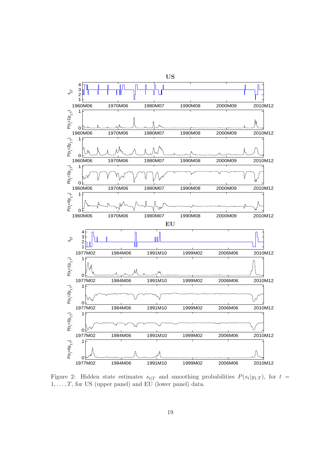

Figure 2: Hidden state estimates  $s_{t|T}$  and smoothing probabilities  $P(s_t|y_{1:T})$ , for  $t =$  $1,\ldots,T,$  for US (upper panel) and EU (lower panel) data.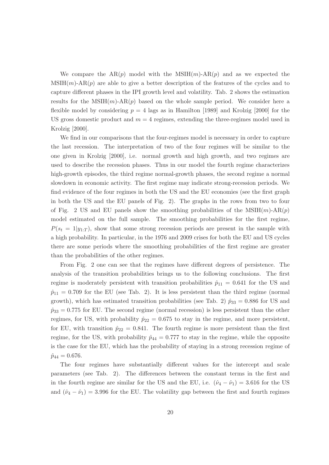We compare the  $AR(p)$  model with the  $MSIH(m)-AR(p)$  and as we expected the  $MSH(m)-AR(p)$  are able to give a better description of the features of the cycles and to capture different phases in the IPI growth level and volatility. Tab. 2 shows the estimation results for the  $MSH(m)-AR(p)$  based on the whole sample period. We consider here a flexible model by considering  $p = 4$  lags as in Hamilton [1989] and Krolzig [2000] for the US gross domestic product and  $m = 4$  regimes, extending the three-regimes model used in Krolzig [2000].

We find in our comparisons that the four-regimes model is necessary in order to capture the last recession. The interpretation of two of the four regimes will be similar to the one given in Krolzig [2000], i.e. normal growth and high growth, and two regimes are used to describe the recession phases. Thus in our model the fourth regime characterizes high-growth episodes, the third regime normal-growth phases, the second regime a normal slowdown in economic activity. The first regime may indicate strong-recession periods. We find evidence of the four regimes in both the US and the EU economies (see the first graph in both the US and the EU panels of Fig. 2). The graphs in the rows from two to four of Fig. 2 US and EU panels show the smoothing probabilities of the  $MSIH(m)-AR(p)$ model estimated on the full sample. The smoothing probabilities for the first regime,  $P(s_t = 1|y_{1:T})$ , show that some strong recession periods are present in the sample with a high probability. In particular, in the 1976 and 2009 crises for both the EU and US cycles there are some periods where the smoothing probabilities of the first regime are greater than the probabilities of the other regimes.

From Fig. 2 one can see that the regimes have different degrees of persistence. The analysis of the transition probabilities brings us to the following conclusions. The first regime is moderately persistent with transition probabilities  $\hat{p}_{11} = 0.641$  for the US and  $\hat{p}_{11} = 0.709$  for the EU (see Tab. 2). It is less persistent than the third regime (normal growth), which has estimated transition probabilities (see Tab. 2)  $\hat{p}_{33} = 0.886$  for US and  $\hat{p}_{33} = 0.775$  for EU. The second regime (normal recession) is less persistent than the other regimes, for US, with probability  $\hat{p}_{22} = 0.675$  to stay in the regime, and more persistent, for EU, with transition  $\hat{p}_{22} = 0.841$ . The fourth regime is more persistent than the first regime, for the US, with probability  $\hat{p}_{44} = 0.777$  to stay in the regime, while the opposite is the case for the EU, which has the probability of staying in a strong recession regime of  $\hat{p}_{44} = 0.676.$ 

The four regimes have substantially different values for the intercept and scale parameters (see Tab. 2). The differences between the constant terms in the first and in the fourth regime are similar for the US and the EU, i.e.  $(\hat{\nu}_4 - \hat{\nu}_1) = 3.616$  for the US and  $(\hat{\nu}_4 - \hat{\nu}_1) = 3.996$  for the EU. The volatility gap between the first and fourth regimes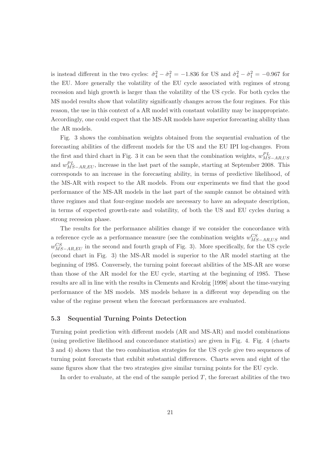is instead different in the two cycles:  $\hat{\sigma}_4^2 - \hat{\sigma}_1^2 = -1.836$  for US and  $\hat{\sigma}_4^2 - \hat{\sigma}_1^2 = -0.967$  for the EU. More generally the volatility of the EU cycle associated with regimes of strong recession and high growth is larger than the volatility of the US cycle. For both cycles the MS model results show that volatility significantly changes across the four regimes. For this reason, the use in this context of a AR model with constant volatility may be inappropriate. Accordingly, one could expect that the MS-AR models have superior forecasting ability than the AR models.

Fig. 3 shows the combination weights obtained from the sequential evaluation of the forecasting abilities of the different models for the US and the EU IPI log-changes. From the first and third chart in Fig. 3 it can be seen that the combination weights,  $w_{MS-AR,US}^{PL}$ and  $w_{MS-AR, EU}^{PL}$ , increase in the last part of the sample, starting at September 2008. This corresponds to an increase in the forecasting ability, in terms of predictive likelihood, of the MS-AR with respect to the AR models. From our experiments we find that the good performance of the MS-AR models in the last part of the sample cannot be obtained with three regimes and that four-regime models are necessary to have an adequate description, in terms of expected growth-rate and volatility, of both the US and EU cycles during a strong recession phase.

The results for the performance abilities change if we consider the concordance with a reference cycle as a performance measure (see the combination weights  $w_{MS-AR,US}^{CS}$  and  $w_{MS-AR,EU}^{CS}$  in the second and fourth graph of Fig. 3). More specifically, for the US cycle (second chart in Fig. 3) the MS-AR model is superior to the AR model starting at the beginning of 1985. Conversely, the turning point forecast abilities of the MS-AR are worse than those of the AR model for the EU cycle, starting at the beginning of 1985. These results are all in line with the results in Clements and Krolzig [1998] about the time-varying performance of the MS models. MS models behave in a different way depending on the value of the regime present when the forecast performances are evaluated.

#### 5.3 Sequential Turning Points Detection

Turning point prediction with different models (AR and MS-AR) and model combinations (using predictive likelihood and concordance statistics) are given in Fig. 4. Fig. 4 (charts 3 and 4) shows that the two combination strategies for the US cycle give two sequences of turning point forecasts that exhibit substantial differences. Charts seven and eight of the same figures show that the two strategies give similar turning points for the EU cycle.

In order to evaluate, at the end of the sample period  $T$ , the forecast abilities of the two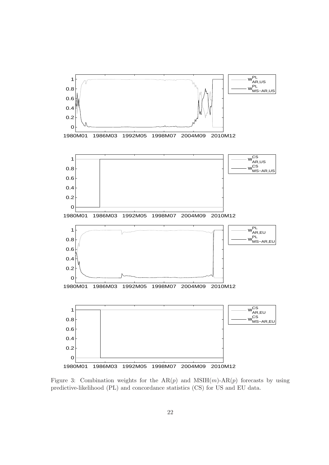

Figure 3: Combination weights for the  $AR(p)$  and  $MSIH(m)-AR(p)$  forecasts by using predictive-likelihood (PL) and concordance statistics (CS) for US and EU data.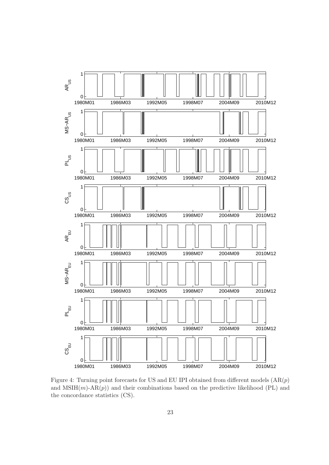

Figure 4: Turning point forecasts for US and EU IPI obtained from different models  $(AR(p))$ and  $MSIH(m)-AR(p)$  and their combinations based on the predictive likelihood (PL) and the concordance statistics (CS).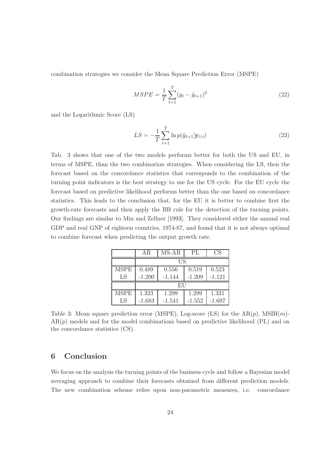combination strategies we consider the Mean Square Prediction Error (MSPE)

$$
MSPE = \frac{1}{T} \sum_{t=1}^{T} (y_t - \tilde{y}_{t+1})^2
$$
\n(22)

and the Logarithmic Score (LS)

$$
LS = -\frac{1}{T} \sum_{t=1}^{T} \ln p(\tilde{y}_{t+1} | \mathbf{y}_{1:t})
$$
\n(23)

Tab. 3 shows that one of the two models performs better for both the US and EU, in terms of MSPE, than the two combination strategies. When considering the LS, then the forecast based on the concordance statistics that corresponds to the combination of the turning point indicators is the best strategy to use for the US cycle. For the EU cycle the forecast based on predictive likelihood performs better than the one based on concordance statistics. This leads to the conclusion that, for the EU it is better to combine first the growth-rate forecasts and then apply the BB rule for the detection of the turning points. Our findings are similar to Min and Zellner [1993]. They considered either the annual real GDP and real GNP of eighteen countries, 1974-87, and found that it is not always optimal to combine forecast when predicting the output growth rate.

|             | ΑR       | $MS-AR$  | PL       | CS       |  |  |
|-------------|----------|----------|----------|----------|--|--|
|             | US       |          |          |          |  |  |
| <b>MSPE</b> | 0.489    | 0.556    | 0.519    | 0.523    |  |  |
| LS          | $-1.200$ | $-1.144$ | $-1.209$ | $-1.121$ |  |  |
|             | EU       |          |          |          |  |  |
| <b>MSPE</b> | 1.323    | 1.299    | 1.299    | 1.331    |  |  |
| LS          | $-1.683$ | $-1.541$ | $-1.552$ | $-1.697$ |  |  |

Table 3: Mean square prediction error (MSPE), Log-score (LS) for the  $AR(p)$ , MSIH $(m)$ - $AR(p)$  models and for the model combinations based on predictive likelihood (PL) and on the concordance statistics (CS).

# 6 Conclusion

We focus on the analysis the turning points of the business cycle and follow a Bayesian model averaging approach to combine their forecasts obtained from different prediction models. The new combination scheme relies upon non-parametric measures, i.e. concordance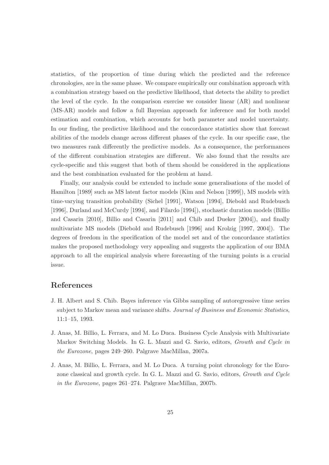statistics, of the proportion of time during which the predicted and the reference chronologies, are in the same phase. We compare empirically our combination approach with a combination strategy based on the predictive likelihood, that detects the ability to predict the level of the cycle. In the comparison exercise we consider linear (AR) and nonlinear (MS-AR) models and follow a full Bayesian approach for inference and for both model estimation and combination, which accounts for both parameter and model uncertainty. In our finding, the predictive likelihood and the concordance statistics show that forecast abilities of the models change across different phases of the cycle. In our specific case, the two measures rank differently the predictive models. As a consequence, the performances of the different combination strategies are different. We also found that the results are cycle-specific and this suggest that both of them should be considered in the applications and the best combination evaluated for the problem at hand.

Finally, our analysis could be extended to include some generalisations of the model of Hamilton [1989] such as MS latent factor models (Kim and Nelson [1999]), MS models with time-varying transition probability (Sichel [1991], Watson [1994], Diebold and Rudebusch [1996], Durland and McCurdy [1994], and Filardo [1994]), stochastic duration models (Billio and Casarin [2010], Billio and Casarin [2011] and Chib and Dueker [2004]), and finally multivariate MS models (Diebold and Rudebusch [1996] and Krolzig [1997, 2004]). The degrees of freedom in the specification of the model set and of the concordance statistics makes the proposed methodology very appealing and suggests the application of our BMA approach to all the empirical analysis where forecasting of the turning points is a crucial issue.

# References

- J. H. Albert and S. Chib. Bayes inference via Gibbs sampling of autoregressive time series subject to Markov mean and variance shifts. Journal of Business and Economic Statistics, 11:1–15, 1993.
- J. Anas, M. Billio, L. Ferrara, and M. Lo Duca. Business Cycle Analysis with Multivariate Markov Switching Models. In G. L. Mazzi and G. Savio, editors, *Growth and Cycle in* the Eurozone, pages 249–260. Palgrave MacMillan, 2007a.
- J. Anas, M. Billio, L. Ferrara, and M. Lo Duca. A turning point chronology for the Eurozone classical and growth cycle. In G. L. Mazzi and G. Savio, editors, Growth and Cycle in the Eurozone, pages 261–274. Palgrave MacMillan, 2007b.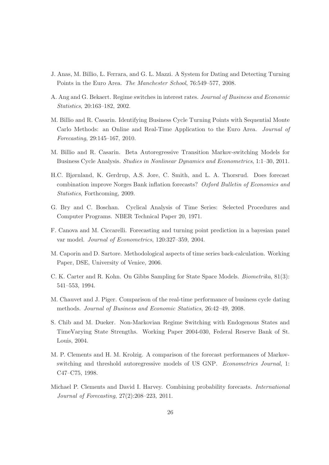- J. Anas, M. Billio, L. Ferrara, and G. L. Mazzi. A System for Dating and Detecting Turning Points in the Euro Area. The Manchester School, 76:549–577, 2008.
- A. Ang and G. Bekaert. Regime switches in interest rates. Journal of Business and Economic Statistics, 20:163–182, 2002.
- M. Billio and R. Casarin. Identifying Business Cycle Turning Points with Sequential Monte Carlo Methods: an Online and Real-Time Application to the Euro Area. Journal of Forecasting, 29:145–167, 2010.
- M. Billio and R. Casarin. Beta Autoregressive Transition Markov-switching Models for Business Cycle Analysis. Studies in Nonlinear Dynamics and Econometrics, 1:1–30, 2011.
- H.C. Bjørnland, K. Gerdrup, A.S. Jore, C. Smith, and L. A. Thorsrud. Does forecast combination improve Norges Bank inflation forecasts? Oxford Bulletin of Economics and Statistics, Forthcoming, 2009.
- G. Bry and C. Boschan. Cyclical Analysis of Time Series: Selected Procedures and Computer Programs. NBER Technical Paper 20, 1971.
- F. Canova and M. Ciccarelli. Forecasting and turning point prediction in a bayesian panel var model. Journal of Econometrics, 120:327–359, 2004.
- M. Caporin and D. Sartore. Methodological aspects of time series back-calculation. Working Paper, DSE, University of Venice, 2006.
- C. K. Carter and R. Kohn. On Gibbs Sampling for State Space Models. Biometrika, 81(3): 541–553, 1994.
- M. Chauvet and J. Piger. Comparison of the real-time performance of business cycle dating methods. Journal of Business and Economic Statistics, 26:42–49, 2008.
- S. Chib and M. Dueker. Non-Markovian Regime Switching with Endogenous States and TimeVarying State Strengths. Working Paper 2004-030, Federal Reserve Bank of St. Louis, 2004.
- M. P. Clements and H. M. Krolzig. A comparison of the forecast performances of Markovswitching and threshold autoregressive models of US GNP. Econometrics Journal, 1: C47–C75, 1998.
- Michael P. Clements and David I. Harvey. Combining probability forecasts. International Journal of Forecasting, 27(2):208–223, 2011.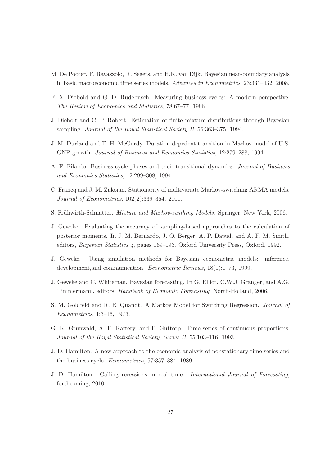- M. De Pooter, F. Ravazzolo, R. Segers, and H.K. van Dijk. Bayesian near-boundary analysis in basic macroeconomic time series models. Advances in Econometrics, 23:331–432, 2008.
- F. X. Diebold and G. D. Rudebusch. Measuring business cycles: A modern perspective. The Review of Economics and Statistics, 78:67–77, 1996.
- J. Diebolt and C. P. Robert. Estimation of finite mixture distributions through Bayesian sampling. Journal of the Royal Statistical Society B, 56:363–375, 1994.
- J. M. Durland and T. H. McCurdy. Duration-depedent transition in Markov model of U.S. GNP growth. Journal of Business and Economics Statistics, 12:279–288, 1994.
- A. F. Filardo. Business cycle phases and their transitional dynamics. Journal of Business and Economics Statistics, 12:299–308, 1994.
- C. Francq and J. M. Zakoian. Stationarity of multivariate Markov-switching ARMA models. Journal of Econometrics, 102(2):339–364, 2001.
- S. Frühwirth-Schnatter. *Mixture and Markov-swithing Models*. Springer, New York, 2006.
- J. Geweke. Evaluating the accuracy of sampling-based approaches to the calculation of posterior moments. In J. M. Bernardo, J. O. Berger, A. P. Dawid, and A. F. M. Smith, editors, Bayesian Statistics 4, pages 169–193. Oxford University Press, Oxford, 1992.
- J. Geweke. Using simulation methods for Bayesian econometric models: inference, development,and communication. Econometric Reviews, 18(1):1–73, 1999.
- J. Geweke and C. Whiteman. Bayesian forecasting. In G. Elliot, C.W.J. Granger, and A.G. Timmermann, editors, Handbook of Economic Forecasting. North-Holland, 2006.
- S. M. Goldfeld and R. E. Quandt. A Markov Model for Switching Regression. Journal of Econometrics, 1:3–16, 1973.
- G. K. Grunwald, A. E. Raftery, and P. Guttorp. Time series of continuous proportions. Journal of the Royal Statistical Society, Series B, 55:103–116, 1993.
- J. D. Hamilton. A new approach to the economic analysis of nonstationary time series and the business cycle. Econometrica, 57:357–384, 1989.
- J. D. Hamilton. Calling recessions in real time. International Journal of Forecasting, forthcoming, 2010.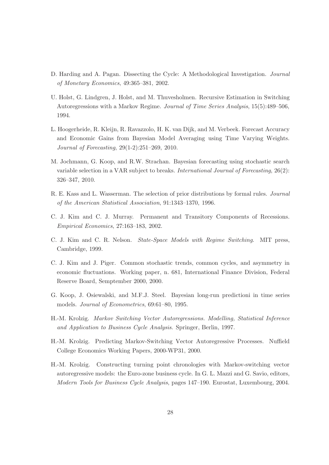- D. Harding and A. Pagan. Dissecting the Cycle: A Methodological Investigation. Journal of Monetary Economics, 49:365–381, 2002.
- U. Holst, G. Lindgren, J. Holst, and M. Thuvesholmen. Recursive Estimation in Switching Autoregressions with a Markov Regime. Journal of Time Series Analysis, 15(5):489–506, 1994.
- L. Hoogerheide, R. Kleijn, R. Ravazzolo, H. K. van Dijk, and M. Verbeek. Forecast Accuracy and Economic Gains from Bayesian Model Averaging using Time Varying Weights. Journal of Forecasting, 29(1-2):251–269, 2010.
- M. Jochmann, G. Koop, and R.W. Strachan. Bayesian forecasting using stochastic search variable selection in a VAR subject to breaks. International Journal of Forecasting, 26(2): 326–347, 2010.
- R. E. Kass and L. Wasserman. The selection of prior distributions by formal rules. Journal of the American Statistical Association, 91:1343–1370, 1996.
- C. J. Kim and C. J. Murray. Permanent and Transitory Components of Recessions. Empirical Economics, 27:163–183, 2002.
- C. J. Kim and C. R. Nelson. State-Space Models with Regime Switching. MIT press, Cambridge, 1999.
- C. J. Kim and J. Piger. Common stochastic trends, common cycles, and asymmetry in economic fluctuations. Working paper, n. 681, International Finance Division, Federal Reserve Board, Semptember 2000, 2000.
- G. Koop, J. Osiewalski, and M.F.J. Steel. Bayesian long-run predictioni in time series models. Journal of Econometrics, 69:61–80, 1995.
- H.-M. Krolzig. Markov Switching Vector Autoregressions. Modelling, Statistical Inference and Application to Business Cycle Analysis. Springer, Berlin, 1997.
- H.-M. Krolzig. Predicting Markov-Switching Vector Autoregressive Processes. Nuffield College Economics Working Papers, 2000-WP31, 2000.
- H.-M. Krolzig. Constructing turning point chronologies with Markov-switching vector autoregressive models: the Euro-zone business cycle. In G. L. Mazzi and G. Savio, editors, Modern Tools for Business Cycle Analysis, pages 147–190. Eurostat, Luxembourg, 2004.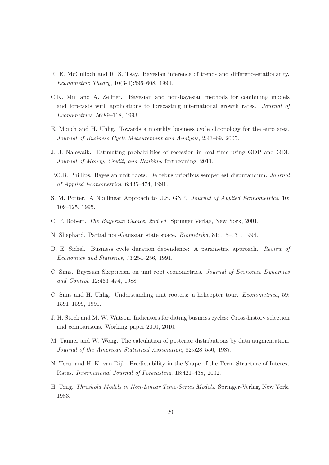- R. E. McCulloch and R. S. Tsay. Bayesian inference of trend- and difference-stationarity. Econometric Theory, 10(3-4):596–608, 1994.
- C.K. Min and A. Zellner. Bayesian and non-bayesian methods for combining models and forecasts with applications to forecasting international growth rates. Journal of Econometrics, 56:89–118, 1993.
- E. Mönch and H. Uhlig. Towards a monthly business cycle chronology for the euro area. Journal of Business Cycle Measurement and Analysis, 2:43–69, 2005.
- J. J. Nalewaik. Estimating probabilities of recession in real time using GDP and GDI. Journal of Money, Credit, and Banking, forthcoming, 2011.
- P.C.B. Phillips. Bayesian unit roots: De rebus prioribus semper est disputandum. Journal of Applied Econometrics, 6:435–474, 1991.
- S. M. Potter. A Nonlinear Approach to U.S. GNP. Journal of Applied Econometrics, 10: 109–125, 1995.
- C. P. Robert. The Bayesian Choice, 2nd ed. Springer Verlag, New York, 2001.
- N. Shephard. Partial non-Gaussian state space. Biometrika, 81:115–131, 1994.
- D. E. Sichel. Business cycle duration dependence: A parametric approach. Review of Economics and Statistics, 73:254–256, 1991.
- C. Sims. Bayesian Skepticism on unit root econometrics. Journal of Economic Dynamics and Control, 12:463–474, 1988.
- C. Sims and H. Uhlig. Understanding unit rooters: a helicopter tour. Econometrica, 59: 1591–1599, 1991.
- J. H. Stock and M. W. Watson. Indicators for dating business cycles: Cross-history selection and comparisons. Working paper 2010, 2010.
- M. Tanner and W. Wong. The calculation of posterior distributions by data augmentation. Journal of the American Statistical Association, 82:528–550, 1987.
- N. Terui and H. K. van Dijk. Predictability in the Shape of the Term Structure of Interest Rates. International Journal of Forecasting, 18:421–438, 2002.
- H. Tong. Threshold Models in Non-Linear Time-Series Models. Springer-Verlag, New York, 1983.